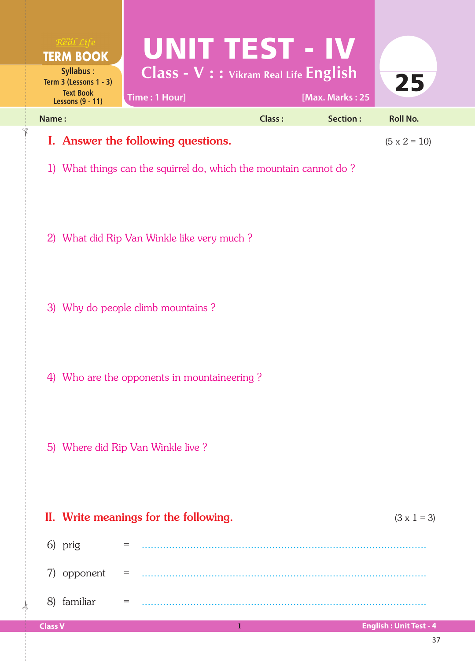| $R$ e al Life<br><b>TERM BOOK</b><br>Syllabus:<br>Term $3$ (Lessons $1 - 3$ )<br><b>Text Book</b><br><b>Lessons (9 - 11)</b>   | UNIT TEST - IV<br>$Class - V :: v$ ikram Real Life English<br>Time: 1 Hour] |        | [Max. Marks: 25 | 25              |  |
|--------------------------------------------------------------------------------------------------------------------------------|-----------------------------------------------------------------------------|--------|-----------------|-----------------|--|
| Name:                                                                                                                          |                                                                             | Class: | Section:        | <b>Roll No.</b> |  |
| I. Answer the following questions.<br>$(5 \times 2 = 10)$<br>1) What things can the squirrel do, which the mountain cannot do? |                                                                             |        |                 |                 |  |
|                                                                                                                                | 2) What did Rip Van Winkle like very much?                                  |        |                 |                 |  |

- 3) Why do people climb mountains ?
- 4) Who are the opponents in mountaineering ?
- 5) Where did Rip Van Winkle live ?

|                     |            |     | II. Write meanings for the following.                                                                                                                                                                                                                                                                                                                         | $(3 \times 1 = 3)$            |
|---------------------|------------|-----|---------------------------------------------------------------------------------------------------------------------------------------------------------------------------------------------------------------------------------------------------------------------------------------------------------------------------------------------------------------|-------------------------------|
|                     | 6) prig    | $=$ |                                                                                                                                                                                                                                                                                                                                                               |                               |
| 7)                  | opponent = |     | $\mathcal{L} = \{1, 2, \ldots, 2, \ldots, 2, \ldots, 2, \ldots, 2, \ldots, 2, \ldots, 2, \ldots, 2, \ldots, 2, \ldots, 2, \ldots, 2, \ldots, 2, \ldots, 2, \ldots, 2, \ldots, 2, \ldots, 2, \ldots, 2, \ldots, 2, \ldots, 2, \ldots, 2, \ldots, 2, \ldots, 2, \ldots, 2, \ldots, 2, \ldots, 2, \ldots, 2, \ldots, 2, \ldots, 2, \ldots, 2, \ldots, 2, \ldots$ |                               |
| $\langle 8 \rangle$ | familiar   | $=$ |                                                                                                                                                                                                                                                                                                                                                               |                               |
| <b>Class V</b>      |            |     |                                                                                                                                                                                                                                                                                                                                                               | <b>English: Unit Test - 4</b> |

 $\frac{1}{2}$ 

✁